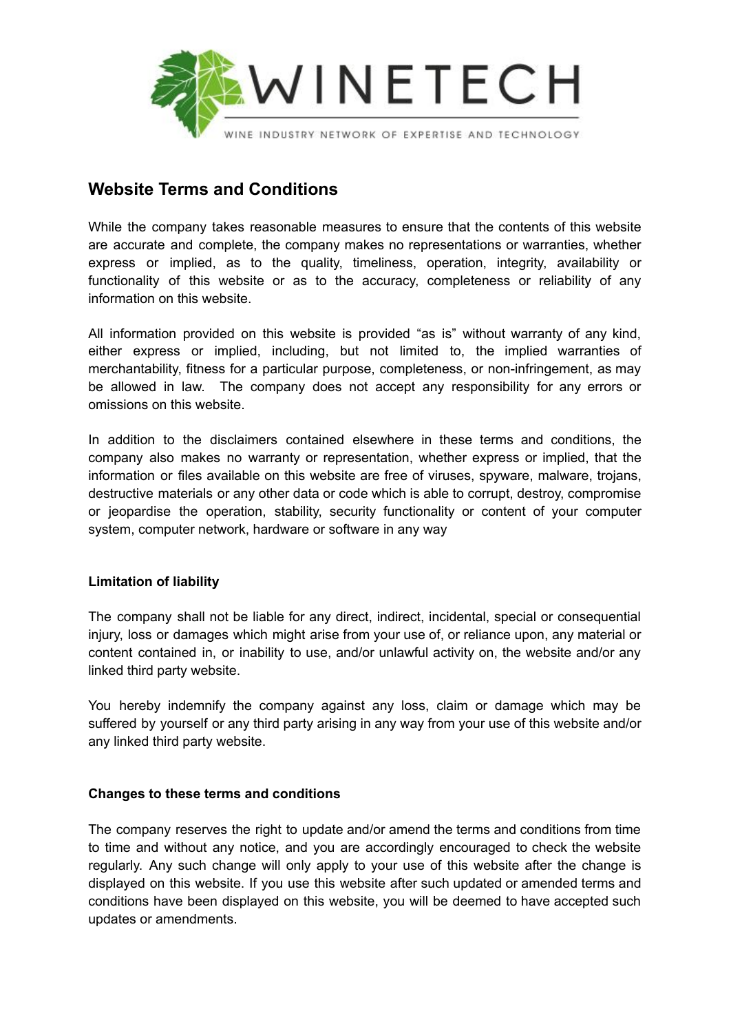

# **Website Terms and Conditions**

While the company takes reasonable measures to ensure that the contents of this website are accurate and complete, the company makes no representations or warranties, whether express or implied, as to the quality, timeliness, operation, integrity, availability or functionality of this website or as to the accuracy, completeness or reliability of any information on this website.

All information provided on this website is provided "as is" without warranty of any kind, either express or implied, including, but not limited to, the implied warranties of merchantability, fitness for a particular purpose, completeness, or non-infringement, as may be allowed in law. The company does not accept any responsibility for any errors or omissions on this website.

In addition to the disclaimers contained elsewhere in these terms and conditions, the company also makes no warranty or representation, whether express or implied, that the information or files available on this website are free of viruses, spyware, malware, trojans, destructive materials or any other data or code which is able to corrupt, destroy, compromise or jeopardise the operation, stability, security functionality or content of your computer system, computer network, hardware or software in any way

## **Limitation of liability**

The company shall not be liable for any direct, indirect, incidental, special or consequential injury, loss or damages which might arise from your use of, or reliance upon, any material or content contained in, or inability to use, and/or unlawful activity on, the website and/or any linked third party website.

You hereby indemnify the company against any loss, claim or damage which may be suffered by yourself or any third party arising in any way from your use of this website and/or any linked third party website.

## **Changes to these terms and conditions**

The company reserves the right to update and/or amend the terms and conditions from time to time and without any notice, and you are accordingly encouraged to check the website regularly. Any such change will only apply to your use of this website after the change is displayed on this website. If you use this website after such updated or amended terms and conditions have been displayed on this website, you will be deemed to have accepted such updates or amendments.